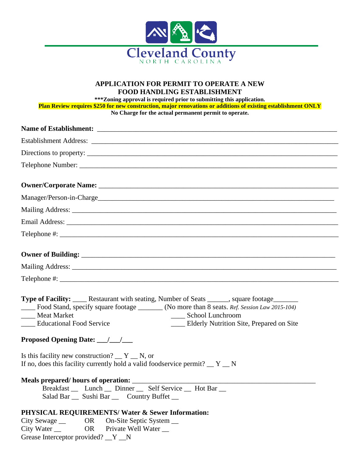

## **APPLICATION FOR PERMIT TO OPERATE A NEW FOOD HANDLING ESTABLISHMENT**

**\*\*\*Zoning approval is required prior to submitting this application. Plan Review requires \$250 for new construction, major renovations or additions of existing establishment ONLY No Charge for the actual permanent permit to operate.**

| Establishment Address: Lawrence and The Communication of the Communication of the Communication of the Communication of the Communication of the Communication of the Communication of the Communication of the Communication                                                                                                                                            |
|--------------------------------------------------------------------------------------------------------------------------------------------------------------------------------------------------------------------------------------------------------------------------------------------------------------------------------------------------------------------------|
|                                                                                                                                                                                                                                                                                                                                                                          |
|                                                                                                                                                                                                                                                                                                                                                                          |
|                                                                                                                                                                                                                                                                                                                                                                          |
|                                                                                                                                                                                                                                                                                                                                                                          |
|                                                                                                                                                                                                                                                                                                                                                                          |
|                                                                                                                                                                                                                                                                                                                                                                          |
|                                                                                                                                                                                                                                                                                                                                                                          |
|                                                                                                                                                                                                                                                                                                                                                                          |
|                                                                                                                                                                                                                                                                                                                                                                          |
|                                                                                                                                                                                                                                                                                                                                                                          |
| <b>Type of Facility:</b> _____ Restaurant with seating, Number of Seats ______, square footage________<br>Food Stand, specify square footage _______ (No more than 8 seats. Ref. Session Law 2015-104)<br>____ Meat Market<br>____ School Lunchroom<br>___ Elderly Nutrition Site, Prepared on Site<br>____ Educational Food Service<br>Proposed Opening Date: __/__/___ |
| Is this facility new construction? $Y$ $\mathbb{N}$ , or<br>If no, does this facility currently hold a valid foodservice permit? $Y_N$                                                                                                                                                                                                                                   |
| Meals prepared/ hours of operation:<br>Breakfast __ Lunch __ Dinner __ Self Service __ Hot Bar __<br>Salad Bar __ Sushi Bar __ Country Buffet __<br>PHYSICAL REQUIREMENTS/ Water & Sewer Information:<br>OR<br>On-Site Septic System __<br>City Sewage __                                                                                                                |
| City Water $\_\_$<br><b>OR</b><br>Private Well Water<br>Grease Interceptor provided? $Y_N$                                                                                                                                                                                                                                                                               |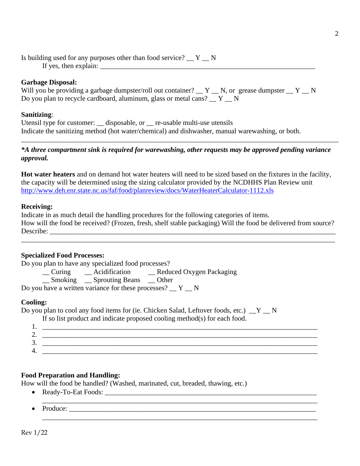Is building used for any purposes other than food service?  $Y \sim N$ If yes, then explain:

### **Garbage Disposal:**

|  |  |                                                                                     |  | Will you be providing a garbage dumpster/roll out container? $Y$ $N$ , or grease dumpster $Y$ $N$ |  |  |
|--|--|-------------------------------------------------------------------------------------|--|---------------------------------------------------------------------------------------------------|--|--|
|  |  | Do you plan to recycle cardboard, aluminum, glass or metal cans? $Y_{\text{max}}$ N |  |                                                                                                   |  |  |

#### **Sanitizing**:

Utensil type for customer: \_\_ disposable, or \_\_ re-usable multi-use utensils Indicate the sanitizing method (hot water/chemical) and dishwasher, manual warewashing, or both.

## *\*A three compartment sink is required for warewashing, other requests may be approved pending variance approval.*

\_\_\_\_\_\_\_\_\_\_\_\_\_\_\_\_\_\_\_\_\_\_\_\_\_\_\_\_\_\_\_\_\_\_\_\_\_\_\_\_\_\_\_\_\_\_\_\_\_\_\_\_\_\_\_\_\_\_\_\_\_\_\_\_\_\_\_\_\_\_\_\_\_\_\_\_\_\_\_\_\_\_\_\_\_\_\_\_\_\_

**Hot water heaters** and on demand hot water heaters will need to be sized based on the fixtures in the facility, the capacity will be determined using the sizing calculator provided by the NCDHHS Plan Review unit <http://www.deh.enr.state.nc.us/faf/food/planreview/docs/WaterHeaterCalculator-1112.xls>

#### **Receiving:**

Indicate in as much detail the handling procedures for the following categories of items. How will the food be received? (Frozen, fresh, shelf stable packaging) Will the food be delivered from source? Describe: \_\_\_\_\_\_\_\_\_\_\_\_\_\_\_\_\_\_\_\_\_\_\_\_\_\_\_\_\_\_\_\_\_\_\_\_\_\_\_\_\_\_\_\_\_\_\_\_\_\_\_\_\_\_\_\_\_\_\_\_\_\_\_\_\_\_\_\_\_\_\_\_\_\_\_\_\_\_\_\_\_

\_\_\_\_\_\_\_\_\_\_\_\_\_\_\_\_\_\_\_\_\_\_\_\_\_\_\_\_\_\_\_\_\_\_\_\_\_\_\_\_\_\_\_\_\_\_\_\_\_\_\_\_\_\_\_\_\_\_\_\_\_\_\_\_\_\_\_\_\_\_\_\_\_\_\_\_\_\_\_\_\_\_\_\_\_\_\_\_\_

### **Specialized Food Processes:**

Do you plan to have any specialized food processes?

\_\_ Curing \_\_ Acidification \_\_ Reduced Oxygen Packaging

\_\_ Smoking \_\_ Sprouting Beans \_\_ Other

Do you have a written variance for these processes?  $Y_{N}$ 

#### **Cooling:**

Do you plan to cool any food items for (ie. Chicken Salad, Leftover foods, etc.)  $Y_N$ 

If so list product and indicate proposed cooling method(s) for each food.

| . .      |  |
|----------|--|
| <u>.</u> |  |
| <u>.</u> |  |
| -        |  |

\_\_\_\_\_\_\_\_\_\_\_\_\_\_\_\_\_\_\_\_\_\_\_\_\_\_\_\_\_\_\_\_\_\_\_\_\_\_\_\_\_\_\_\_\_\_\_\_\_\_\_\_\_\_\_\_\_\_\_\_\_\_\_\_\_\_\_\_\_\_\_\_\_\_\_\_\_\_

### **Food Preparation and Handling:**

How will the food be handled? (Washed, marinated, cut, breaded, thawing, etc.)

- Ready-To-Eat Foods:
- Produce: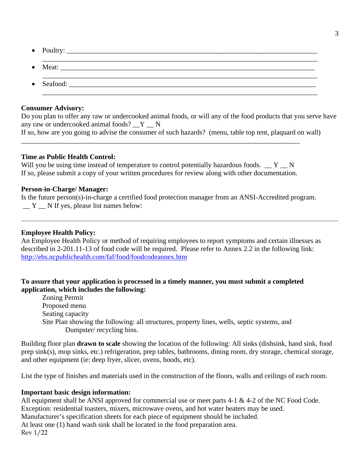- Poultry: \_\_\_\_\_\_\_\_\_\_\_\_\_\_\_\_\_\_\_\_\_\_\_\_\_\_\_\_\_\_\_\_\_\_\_\_\_\_\_\_\_\_\_\_\_\_\_\_\_\_\_\_\_\_\_\_\_\_\_\_\_\_\_\_\_\_\_\_\_\_\_
- \_\_\_\_\_\_\_\_\_\_\_\_\_\_\_\_\_\_\_\_\_\_\_\_\_\_\_\_\_\_\_\_\_\_\_\_\_\_\_\_\_\_\_\_\_\_\_\_\_\_\_\_\_\_\_\_\_\_\_\_\_\_\_\_\_\_\_\_\_\_\_\_\_\_\_\_\_\_ • Meat:  $\_\_\_\_\_\_\_\_\_\_$ \_\_\_\_\_\_\_\_\_\_\_\_\_\_\_\_\_\_\_\_\_\_\_\_\_\_\_\_\_\_\_\_\_\_\_\_\_\_\_\_\_\_\_\_\_\_\_\_\_\_\_\_\_\_\_\_\_\_\_\_\_\_\_\_\_\_\_\_\_\_\_\_\_\_\_\_\_\_
- Seafood:  $\blacksquare$ \_\_\_\_\_\_\_\_\_\_\_\_\_\_\_\_\_\_\_\_\_\_\_\_\_\_\_\_\_\_\_\_\_\_\_\_\_\_\_\_\_\_\_\_\_\_\_\_\_\_\_\_\_\_\_\_\_\_\_\_\_\_\_\_\_\_\_\_\_\_\_\_\_\_\_\_\_\_

# **Consumer Advisory:**

Do you plan to offer any raw or undercooked animal foods, or will any of the food products that you serve have any raw or undercooked animal foods?  $Y$  N

```
If so, how are you going to advise the consumer of such hazards? (menu, table top tent, plaquard on wall)
```
# **Time as Public Health Control:**

Will you be using time instead of temperature to control potentially hazardous foods.  $\mathbb{Z}$   $\mathbb{Y}$   $\mathbb{Z}$  N If so, please submit a copy of your written procedures for review along with other documentation.

\_\_\_\_\_\_\_\_\_\_\_\_\_\_\_\_\_\_\_\_\_\_\_\_\_\_\_\_\_\_\_\_\_\_\_\_\_\_\_\_\_\_\_\_\_\_\_\_\_\_\_\_\_\_\_\_\_\_\_\_\_\_\_\_\_\_\_\_\_\_\_\_\_\_\_\_\_\_\_

# **Person-in-Charge/ Manager:**

Is the future person(s)-in-charge a certified food protection manager from an ANSI-Accredited program. Y N If yes, please list names below:

# **Employee Health Policy:**

An Employee Health Policy or method of requiring employees to report symptoms and certain illnesses as described in 2-201.11-13 of food code will be required. Please refer to Annex 2.2 in the following link: <http://ehs.ncpublichealth.com/faf/food/foodcodeannex.htm>

# **To assure that your application is processed in a timely manner, you must submit a completed application, which includes the following:**

Zoning Permit Proposed menu Seating capacity Site Plan showing the following: all structures, property lines, wells, septic systems, and Dumpster/ recycling bins.

Building floor plan **drawn to scale** showing the location of the following: All sinks (dishsink, hand sink, food prep sink(s), mop sinks, etc.) refrigeration, prep tables, bathrooms, dining room, dry storage, chemical storage, and other equipment (ie: deep fryer, slicer, ovens, hoods, etc).

List the type of finishes and materials used in the construction of the floors, walls and ceilings of each room.

# **Important basic design information:**

Rev 1/22 All equipment shall be ANSI approved for commercial use or meet parts 4-1 & 4-2 of the NC Food Code. Exception: residential toasters, mixers, microwave ovens, and hot water heaters may be used. Manufacturer's specification sheets for each piece of equipment should be included. At least one (1) hand wash sink shall be located in the food preparation area.